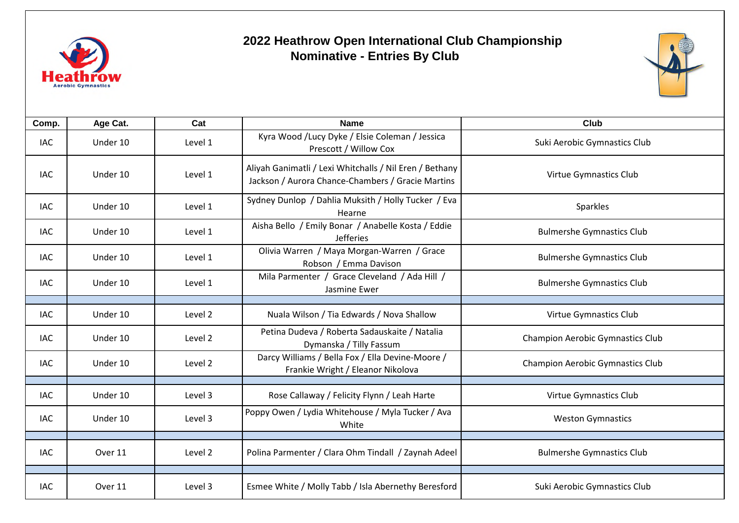

## **2022 Heathrow Open International Club Championship Nominative - Entries By Club**



| Comp.      | Age Cat. | Cat     | <b>Name</b>                                                                                                  | Club                                    |
|------------|----------|---------|--------------------------------------------------------------------------------------------------------------|-----------------------------------------|
| IAC        | Under 10 | Level 1 | Kyra Wood /Lucy Dyke / Elsie Coleman / Jessica<br>Prescott / Willow Cox                                      | Suki Aerobic Gymnastics Club            |
| <b>IAC</b> | Under 10 | Level 1 | Aliyah Ganimatli / Lexi Whitchalls / Nil Eren / Bethany<br>Jackson / Aurora Chance-Chambers / Gracie Martins | Virtue Gymnastics Club                  |
| <b>IAC</b> | Under 10 | Level 1 | Sydney Dunlop / Dahlia Muksith / Holly Tucker / Eva<br>Hearne                                                | Sparkles                                |
| <b>IAC</b> | Under 10 | Level 1 | Aisha Bello / Emily Bonar / Anabelle Kosta / Eddie<br><b>Jefferies</b>                                       | <b>Bulmershe Gymnastics Club</b>        |
| <b>IAC</b> | Under 10 | Level 1 | Olivia Warren / Maya Morgan-Warren / Grace<br>Robson / Emma Davison                                          | <b>Bulmershe Gymnastics Club</b>        |
| <b>IAC</b> | Under 10 | Level 1 | Mila Parmenter / Grace Cleveland / Ada Hill /<br>Jasmine Ewer                                                | <b>Bulmershe Gymnastics Club</b>        |
|            |          |         |                                                                                                              |                                         |
| <b>IAC</b> | Under 10 | Level 2 | Nuala Wilson / Tia Edwards / Nova Shallow                                                                    | Virtue Gymnastics Club                  |
| <b>IAC</b> | Under 10 | Level 2 | Petina Dudeva / Roberta Sadauskaite / Natalia<br>Dymanska / Tilly Fassum                                     | <b>Champion Aerobic Gymnastics Club</b> |
| <b>IAC</b> | Under 10 | Level 2 | Darcy Williams / Bella Fox / Ella Devine-Moore /<br>Frankie Wright / Eleanor Nikolova                        | <b>Champion Aerobic Gymnastics Club</b> |
|            |          |         |                                                                                                              |                                         |
| <b>IAC</b> | Under 10 | Level 3 | Rose Callaway / Felicity Flynn / Leah Harte                                                                  | Virtue Gymnastics Club                  |
| <b>IAC</b> | Under 10 | Level 3 | Poppy Owen / Lydia Whitehouse / Myla Tucker / Ava<br>White                                                   | <b>Weston Gymnastics</b>                |
|            |          |         |                                                                                                              |                                         |
| <b>IAC</b> | Over 11  | Level 2 | Polina Parmenter / Clara Ohm Tindall / Zaynah Adeel                                                          | <b>Bulmershe Gymnastics Club</b>        |
|            |          |         |                                                                                                              |                                         |
| <b>IAC</b> | Over 11  | Level 3 | Esmee White / Molly Tabb / Isla Abernethy Beresford                                                          | Suki Aerobic Gymnastics Club            |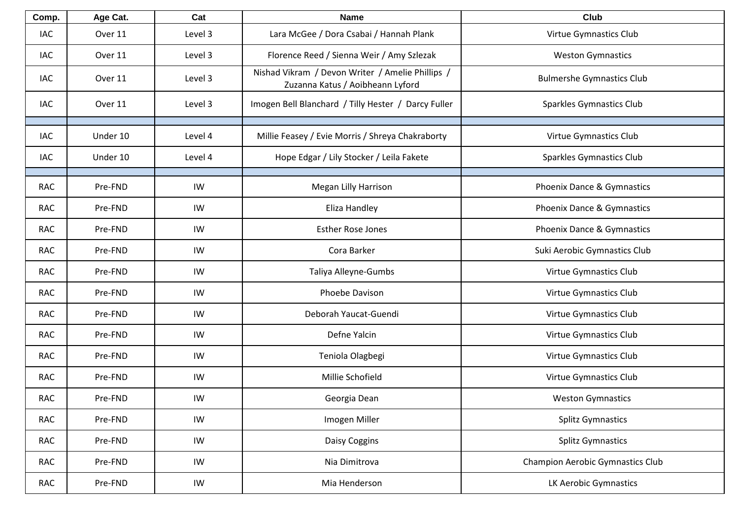| Comp.      | Age Cat. | Cat     | <b>Name</b>                                                                          | <b>Club</b>                             |
|------------|----------|---------|--------------------------------------------------------------------------------------|-----------------------------------------|
| <b>IAC</b> | Over 11  | Level 3 | Lara McGee / Dora Csabai / Hannah Plank                                              | Virtue Gymnastics Club                  |
| <b>IAC</b> | Over 11  | Level 3 | Florence Reed / Sienna Weir / Amy Szlezak                                            | <b>Weston Gymnastics</b>                |
| IAC        | Over 11  | Level 3 | Nishad Vikram / Devon Writer / Amelie Phillips /<br>Zuzanna Katus / Aoibheann Lyford | <b>Bulmershe Gymnastics Club</b>        |
| <b>IAC</b> | Over 11  | Level 3 | Imogen Bell Blanchard / Tilly Hester / Darcy Fuller                                  | <b>Sparkles Gymnastics Club</b>         |
| <b>IAC</b> | Under 10 | Level 4 | Millie Feasey / Evie Morris / Shreya Chakraborty                                     | Virtue Gymnastics Club                  |
| <b>IAC</b> | Under 10 | Level 4 | Hope Edgar / Lily Stocker / Leila Fakete                                             | <b>Sparkles Gymnastics Club</b>         |
| <b>RAC</b> | Pre-FND  | IW      | Megan Lilly Harrison                                                                 | Phoenix Dance & Gymnastics              |
| <b>RAC</b> | Pre-FND  | IW      | Eliza Handley                                                                        | Phoenix Dance & Gymnastics              |
| <b>RAC</b> | Pre-FND  | IW      | <b>Esther Rose Jones</b>                                                             | Phoenix Dance & Gymnastics              |
| <b>RAC</b> | Pre-FND  | IW      | Cora Barker                                                                          | Suki Aerobic Gymnastics Club            |
| <b>RAC</b> | Pre-FND  | IW      | Taliya Alleyne-Gumbs                                                                 | Virtue Gymnastics Club                  |
| <b>RAC</b> | Pre-FND  | IW      | Phoebe Davison                                                                       | Virtue Gymnastics Club                  |
| <b>RAC</b> | Pre-FND  | IW      | Deborah Yaucat-Guendi                                                                | Virtue Gymnastics Club                  |
| <b>RAC</b> | Pre-FND  | IW      | Defne Yalcin                                                                         | Virtue Gymnastics Club                  |
| <b>RAC</b> | Pre-FND  | IW      | Teniola Olagbegi                                                                     | Virtue Gymnastics Club                  |
| <b>RAC</b> | Pre-FND  | IW      | Millie Schofield                                                                     | Virtue Gymnastics Club                  |
| <b>RAC</b> | Pre-FND  | IW      | Georgia Dean                                                                         | <b>Weston Gymnastics</b>                |
| <b>RAC</b> | Pre-FND  | IW      | Imogen Miller                                                                        | <b>Splitz Gymnastics</b>                |
| <b>RAC</b> | Pre-FND  | IW      | Daisy Coggins                                                                        | <b>Splitz Gymnastics</b>                |
| <b>RAC</b> | Pre-FND  | IW      | Nia Dimitrova                                                                        | <b>Champion Aerobic Gymnastics Club</b> |
| <b>RAC</b> | Pre-FND  | IW      | Mia Henderson                                                                        | LK Aerobic Gymnastics                   |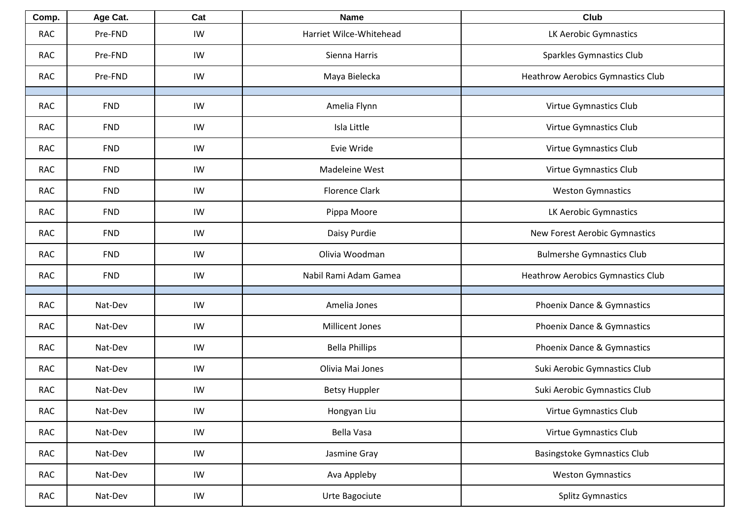| Comp.      | Age Cat.   | Cat | <b>Name</b>             | Club                                     |
|------------|------------|-----|-------------------------|------------------------------------------|
| <b>RAC</b> | Pre-FND    | IW  | Harriet Wilce-Whitehead | LK Aerobic Gymnastics                    |
| <b>RAC</b> | Pre-FND    | IW  | Sienna Harris           | <b>Sparkles Gymnastics Club</b>          |
| <b>RAC</b> | Pre-FND    | IW  | Maya Bielecka           | <b>Heathrow Aerobics Gymnastics Club</b> |
| <b>RAC</b> | <b>FND</b> | IW  | Amelia Flynn            | Virtue Gymnastics Club                   |
| <b>RAC</b> | <b>FND</b> | IW  | Isla Little             | Virtue Gymnastics Club                   |
| <b>RAC</b> | <b>FND</b> | IW  | Evie Wride              | Virtue Gymnastics Club                   |
| <b>RAC</b> | <b>FND</b> | IW  | Madeleine West          | Virtue Gymnastics Club                   |
| <b>RAC</b> | <b>FND</b> | IW  | <b>Florence Clark</b>   | <b>Weston Gymnastics</b>                 |
| <b>RAC</b> | <b>FND</b> | IW  | Pippa Moore             | LK Aerobic Gymnastics                    |
| <b>RAC</b> | <b>FND</b> | IW  | Daisy Purdie            | New Forest Aerobic Gymnastics            |
| <b>RAC</b> | <b>FND</b> | IW  | Olivia Woodman          | <b>Bulmershe Gymnastics Club</b>         |
| <b>RAC</b> | <b>FND</b> | IW  | Nabil Rami Adam Gamea   | <b>Heathrow Aerobics Gymnastics Club</b> |
|            |            |     |                         |                                          |
| <b>RAC</b> | Nat-Dev    | IW  | Amelia Jones            | Phoenix Dance & Gymnastics               |
| <b>RAC</b> | Nat-Dev    | IW  | <b>Millicent Jones</b>  | Phoenix Dance & Gymnastics               |
| <b>RAC</b> | Nat-Dev    | IW  | <b>Bella Phillips</b>   | Phoenix Dance & Gymnastics               |
| <b>RAC</b> | Nat-Dev    | IW  | Olivia Mai Jones        | Suki Aerobic Gymnastics Club             |
| <b>RAC</b> | Nat-Dev    | IW  | <b>Betsy Huppler</b>    | Suki Aerobic Gymnastics Club             |
| <b>RAC</b> | Nat-Dev    | IW  | Hongyan Liu             | Virtue Gymnastics Club                   |
| <b>RAC</b> | Nat-Dev    | IW  | Bella Vasa              | Virtue Gymnastics Club                   |
| <b>RAC</b> | Nat-Dev    | IW  | Jasmine Gray            | <b>Basingstoke Gymnastics Club</b>       |
| RAC        | Nat-Dev    | IW  | Ava Appleby             | <b>Weston Gymnastics</b>                 |
| RAC        | Nat-Dev    | IW  | Urte Bagociute          | <b>Splitz Gymnastics</b>                 |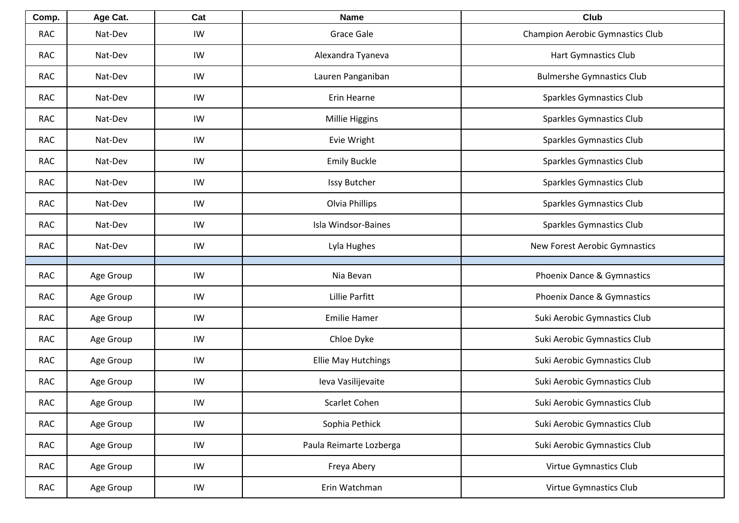| Comp.      | Age Cat.  | Cat | <b>Name</b>                | Club                                    |
|------------|-----------|-----|----------------------------|-----------------------------------------|
| <b>RAC</b> | Nat-Dev   | IW  | Grace Gale                 | <b>Champion Aerobic Gymnastics Club</b> |
| <b>RAC</b> | Nat-Dev   | IW  | Alexandra Tyaneva          | <b>Hart Gymnastics Club</b>             |
| <b>RAC</b> | Nat-Dev   | IW  | Lauren Panganiban          | <b>Bulmershe Gymnastics Club</b>        |
| <b>RAC</b> | Nat-Dev   | IW  | Erin Hearne                | Sparkles Gymnastics Club                |
| <b>RAC</b> | Nat-Dev   | IW  | Millie Higgins             | Sparkles Gymnastics Club                |
| <b>RAC</b> | Nat-Dev   | IW  | Evie Wright                | Sparkles Gymnastics Club                |
| <b>RAC</b> | Nat-Dev   | IW  | <b>Emily Buckle</b>        | Sparkles Gymnastics Club                |
| <b>RAC</b> | Nat-Dev   | IW  | Issy Butcher               | Sparkles Gymnastics Club                |
| <b>RAC</b> | Nat-Dev   | IW  | Olvia Phillips             | Sparkles Gymnastics Club                |
| <b>RAC</b> | Nat-Dev   | IW  | Isla Windsor-Baines        | Sparkles Gymnastics Club                |
| <b>RAC</b> | Nat-Dev   | IW  | Lyla Hughes                | New Forest Aerobic Gymnastics           |
|            |           |     |                            |                                         |
| <b>RAC</b> | Age Group | IW  | Nia Bevan                  | Phoenix Dance & Gymnastics              |
| <b>RAC</b> | Age Group | IW  | Lillie Parfitt             | Phoenix Dance & Gymnastics              |
| <b>RAC</b> | Age Group | IW  | <b>Emilie Hamer</b>        | Suki Aerobic Gymnastics Club            |
| <b>RAC</b> | Age Group | IW  | Chloe Dyke                 | Suki Aerobic Gymnastics Club            |
| <b>RAC</b> | Age Group | IW  | <b>Ellie May Hutchings</b> | Suki Aerobic Gymnastics Club            |
| <b>RAC</b> | Age Group | IW  | Ieva Vasilijevaite         | Suki Aerobic Gymnastics Club            |
| <b>RAC</b> | Age Group | IW  | Scarlet Cohen              | Suki Aerobic Gymnastics Club            |
| <b>RAC</b> | Age Group | IW  | Sophia Pethick             | Suki Aerobic Gymnastics Club            |
| RAC        | Age Group | IW  | Paula Reimarte Lozberga    | Suki Aerobic Gymnastics Club            |
| RAC        | Age Group | IW  | Freya Abery                | Virtue Gymnastics Club                  |
| RAC        | Age Group | IW  | Erin Watchman              | Virtue Gymnastics Club                  |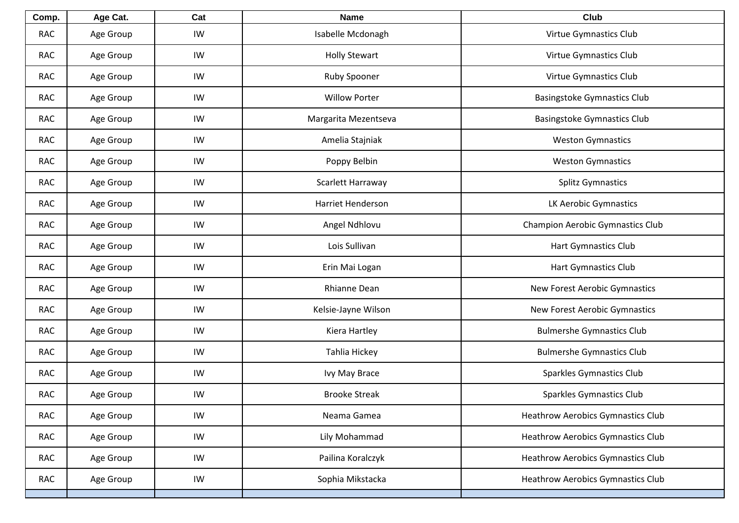| Comp.      | Age Cat.  | Cat | <b>Name</b>              | Club                                     |
|------------|-----------|-----|--------------------------|------------------------------------------|
| <b>RAC</b> | Age Group | IW  | Isabelle Mcdonagh        | Virtue Gymnastics Club                   |
| <b>RAC</b> | Age Group | IW  | <b>Holly Stewart</b>     | Virtue Gymnastics Club                   |
| <b>RAC</b> | Age Group | IW  | Ruby Spooner             | Virtue Gymnastics Club                   |
| <b>RAC</b> | Age Group | IW  | <b>Willow Porter</b>     | <b>Basingstoke Gymnastics Club</b>       |
| <b>RAC</b> | Age Group | IW  | Margarita Mezentseva     | <b>Basingstoke Gymnastics Club</b>       |
| <b>RAC</b> | Age Group | IW  | Amelia Stajniak          | <b>Weston Gymnastics</b>                 |
| <b>RAC</b> | Age Group | IW  | Poppy Belbin             | <b>Weston Gymnastics</b>                 |
| <b>RAC</b> | Age Group | IW  | Scarlett Harraway        | <b>Splitz Gymnastics</b>                 |
| <b>RAC</b> | Age Group | IW  | <b>Harriet Henderson</b> | LK Aerobic Gymnastics                    |
| <b>RAC</b> | Age Group | IW  | Angel Ndhlovu            | <b>Champion Aerobic Gymnastics Club</b>  |
| <b>RAC</b> | Age Group | IW  | Lois Sullivan            | Hart Gymnastics Club                     |
| <b>RAC</b> | Age Group | IW  | Erin Mai Logan           | Hart Gymnastics Club                     |
| <b>RAC</b> | Age Group | IW  | <b>Rhianne Dean</b>      | New Forest Aerobic Gymnastics            |
| <b>RAC</b> | Age Group | IW  | Kelsie-Jayne Wilson      | New Forest Aerobic Gymnastics            |
| <b>RAC</b> | Age Group | IW  | Kiera Hartley            | <b>Bulmershe Gymnastics Club</b>         |
| <b>RAC</b> | Age Group | IW  | Tahlia Hickey            | <b>Bulmershe Gymnastics Club</b>         |
| <b>RAC</b> | Age Group | IW  | Ivy May Brace            | <b>Sparkles Gymnastics Club</b>          |
| <b>RAC</b> | Age Group | IW  | <b>Brooke Streak</b>     | <b>Sparkles Gymnastics Club</b>          |
| <b>RAC</b> | Age Group | IW  | Neama Gamea              | <b>Heathrow Aerobics Gymnastics Club</b> |
| <b>RAC</b> | Age Group | IW  | Lily Mohammad            | <b>Heathrow Aerobics Gymnastics Club</b> |
| <b>RAC</b> | Age Group | IW  | Pailina Koralczyk        | <b>Heathrow Aerobics Gymnastics Club</b> |
| RAC        | Age Group | IW  | Sophia Mikstacka         | <b>Heathrow Aerobics Gymnastics Club</b> |
|            |           |     |                          |                                          |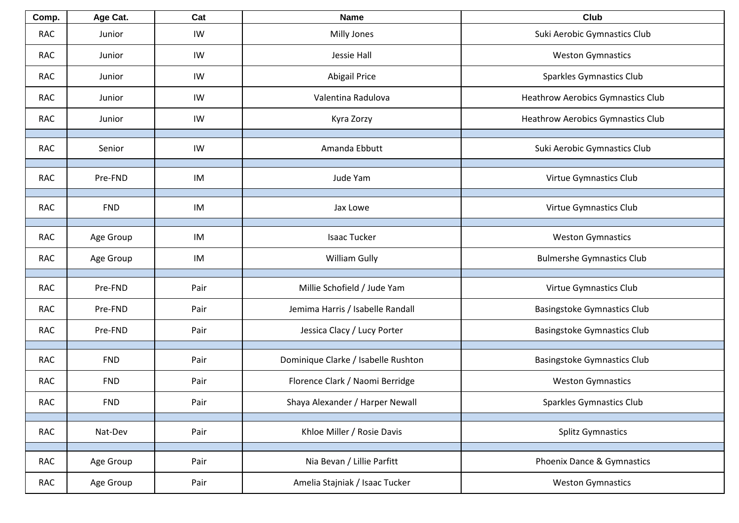| Comp.      | Age Cat.   | Cat  | <b>Name</b>                         | Club                                     |
|------------|------------|------|-------------------------------------|------------------------------------------|
| <b>RAC</b> | Junior     | IW   | Milly Jones                         | Suki Aerobic Gymnastics Club             |
| <b>RAC</b> | Junior     | IW   | Jessie Hall                         | <b>Weston Gymnastics</b>                 |
| <b>RAC</b> | Junior     | IW   | <b>Abigail Price</b>                | <b>Sparkles Gymnastics Club</b>          |
| <b>RAC</b> | Junior     | IW   | Valentina Radulova                  | <b>Heathrow Aerobics Gymnastics Club</b> |
| <b>RAC</b> | Junior     | IW   | Kyra Zorzy                          | <b>Heathrow Aerobics Gymnastics Club</b> |
| <b>RAC</b> | Senior     | IW   | Amanda Ebbutt                       | Suki Aerobic Gymnastics Club             |
| <b>RAC</b> | Pre-FND    | IM   | Jude Yam                            | Virtue Gymnastics Club                   |
| <b>RAC</b> | <b>FND</b> | IM   | Jax Lowe                            | Virtue Gymnastics Club                   |
| <b>RAC</b> | Age Group  | IM   | Isaac Tucker                        | <b>Weston Gymnastics</b>                 |
| <b>RAC</b> | Age Group  | IM   | William Gully                       | <b>Bulmershe Gymnastics Club</b>         |
| <b>RAC</b> | Pre-FND    | Pair | Millie Schofield / Jude Yam         | Virtue Gymnastics Club                   |
| <b>RAC</b> | Pre-FND    | Pair | Jemima Harris / Isabelle Randall    | Basingstoke Gymnastics Club              |
| <b>RAC</b> | Pre-FND    | Pair | Jessica Clacy / Lucy Porter         | Basingstoke Gymnastics Club              |
| <b>RAC</b> | <b>FND</b> | Pair | Dominique Clarke / Isabelle Rushton | <b>Basingstoke Gymnastics Club</b>       |
|            |            |      |                                     |                                          |
| <b>RAC</b> | <b>FND</b> | Pair | Florence Clark / Naomi Berridge     | <b>Weston Gymnastics</b>                 |
| RAC        | <b>FND</b> | Pair | Shaya Alexander / Harper Newall     | Sparkles Gymnastics Club                 |
| <b>RAC</b> | Nat-Dev    | Pair | Khloe Miller / Rosie Davis          | <b>Splitz Gymnastics</b>                 |
| <b>RAC</b> | Age Group  | Pair | Nia Bevan / Lillie Parfitt          | Phoenix Dance & Gymnastics               |
| <b>RAC</b> | Age Group  | Pair | Amelia Stajniak / Isaac Tucker      | <b>Weston Gymnastics</b>                 |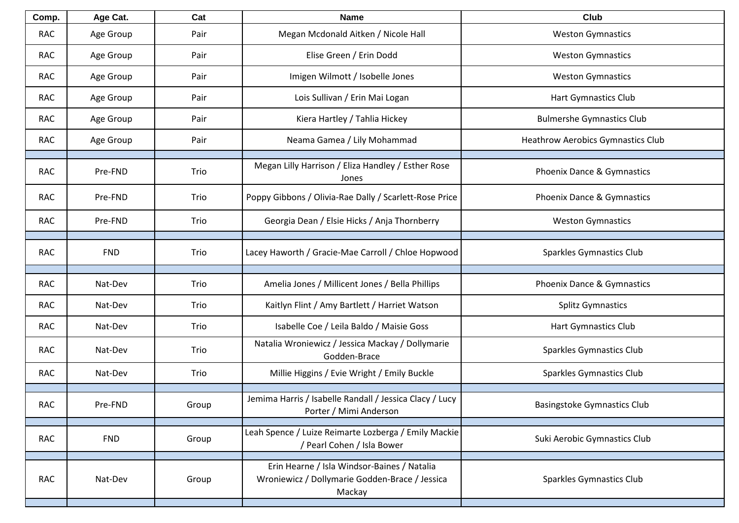| Comp.      | Age Cat.   | Cat   | <b>Name</b>                                                                                             | <b>Club</b>                              |
|------------|------------|-------|---------------------------------------------------------------------------------------------------------|------------------------------------------|
| <b>RAC</b> | Age Group  | Pair  | Megan Mcdonald Aitken / Nicole Hall                                                                     | <b>Weston Gymnastics</b>                 |
| <b>RAC</b> | Age Group  | Pair  | Elise Green / Erin Dodd                                                                                 | <b>Weston Gymnastics</b>                 |
| <b>RAC</b> | Age Group  | Pair  | Imigen Wilmott / Isobelle Jones                                                                         | <b>Weston Gymnastics</b>                 |
| <b>RAC</b> | Age Group  | Pair  | Lois Sullivan / Erin Mai Logan                                                                          | Hart Gymnastics Club                     |
| <b>RAC</b> | Age Group  | Pair  | Kiera Hartley / Tahlia Hickey                                                                           | <b>Bulmershe Gymnastics Club</b>         |
| <b>RAC</b> | Age Group  | Pair  | Neama Gamea / Lily Mohammad                                                                             | <b>Heathrow Aerobics Gymnastics Club</b> |
| <b>RAC</b> | Pre-FND    | Trio  | Megan Lilly Harrison / Eliza Handley / Esther Rose<br>Jones                                             | Phoenix Dance & Gymnastics               |
| <b>RAC</b> | Pre-FND    | Trio  | Poppy Gibbons / Olivia-Rae Dally / Scarlett-Rose Price                                                  | Phoenix Dance & Gymnastics               |
| <b>RAC</b> | Pre-FND    | Trio  | Georgia Dean / Elsie Hicks / Anja Thornberry                                                            | <b>Weston Gymnastics</b>                 |
| <b>RAC</b> | <b>FND</b> | Trio  | Lacey Haworth / Gracie-Mae Carroll / Chloe Hopwood                                                      | Sparkles Gymnastics Club                 |
| <b>RAC</b> | Nat-Dev    | Trio  | Amelia Jones / Millicent Jones / Bella Phillips                                                         | Phoenix Dance & Gymnastics               |
| <b>RAC</b> | Nat-Dev    | Trio  | Kaitlyn Flint / Amy Bartlett / Harriet Watson                                                           | <b>Splitz Gymnastics</b>                 |
| <b>RAC</b> | Nat-Dev    | Trio  | Isabelle Coe / Leila Baldo / Maisie Goss                                                                | Hart Gymnastics Club                     |
| <b>RAC</b> | Nat-Dev    | Trio  | Natalia Wroniewicz / Jessica Mackay / Dollymarie<br>Godden-Brace                                        | Sparkles Gymnastics Club                 |
| <b>RAC</b> | Nat-Dev    | Trio  | Millie Higgins / Evie Wright / Emily Buckle                                                             | Sparkles Gymnastics Club                 |
| RAC        | Pre-FND    | Group | Jemima Harris / Isabelle Randall / Jessica Clacy / Lucy<br>Porter / Mimi Anderson                       | <b>Basingstoke Gymnastics Club</b>       |
| <b>RAC</b> | <b>FND</b> | Group | Leah Spence / Luize Reimarte Lozberga / Emily Mackie<br>/ Pearl Cohen / Isla Bower                      | Suki Aerobic Gymnastics Club             |
| <b>RAC</b> | Nat-Dev    | Group | Erin Hearne / Isla Windsor-Baines / Natalia<br>Wroniewicz / Dollymarie Godden-Brace / Jessica<br>Mackay | Sparkles Gymnastics Club                 |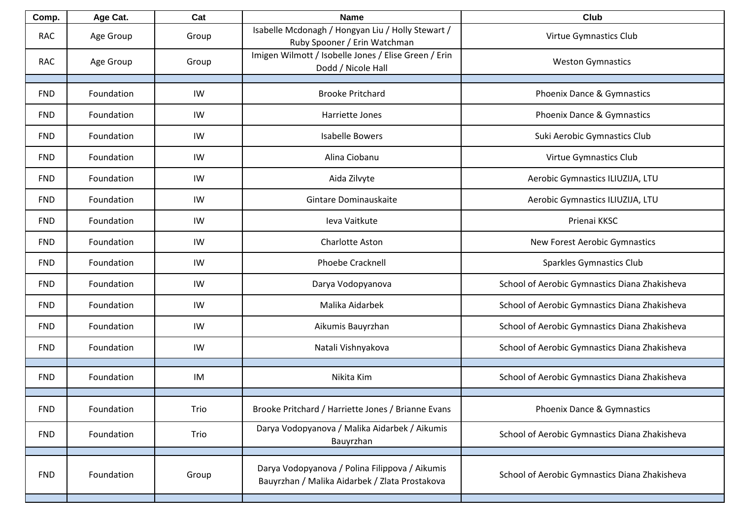| Comp.      | Age Cat.   | Cat   | <b>Name</b>                                                                                      | Club                                          |
|------------|------------|-------|--------------------------------------------------------------------------------------------------|-----------------------------------------------|
| <b>RAC</b> | Age Group  | Group | Isabelle Mcdonagh / Hongyan Liu / Holly Stewart /<br>Ruby Spooner / Erin Watchman                | Virtue Gymnastics Club                        |
| <b>RAC</b> | Age Group  | Group | Imigen Wilmott / Isobelle Jones / Elise Green / Erin<br>Dodd / Nicole Hall                       | <b>Weston Gymnastics</b>                      |
|            |            |       |                                                                                                  |                                               |
| <b>FND</b> | Foundation | IW    | <b>Brooke Pritchard</b>                                                                          | Phoenix Dance & Gymnastics                    |
| <b>FND</b> | Foundation | IW    | Harriette Jones                                                                                  | Phoenix Dance & Gymnastics                    |
| <b>FND</b> | Foundation | IW    | <b>Isabelle Bowers</b>                                                                           | Suki Aerobic Gymnastics Club                  |
| <b>FND</b> | Foundation | IW    | Alina Ciobanu                                                                                    | Virtue Gymnastics Club                        |
| <b>FND</b> | Foundation | IW    | Aida Zilvyte                                                                                     | Aerobic Gymnastics ILIUZIJA, LTU              |
| <b>FND</b> | Foundation | IW    | Gintare Dominauskaite                                                                            | Aerobic Gymnastics ILIUZIJA, LTU              |
| <b>FND</b> | Foundation | IW    | Ieva Vaitkute                                                                                    | Prienai KKSC                                  |
| <b>FND</b> | Foundation | IW    | Charlotte Aston                                                                                  | New Forest Aerobic Gymnastics                 |
| <b>FND</b> | Foundation | IW    | Phoebe Cracknell                                                                                 | Sparkles Gymnastics Club                      |
| <b>FND</b> | Foundation | IW    | Darya Vodopyanova                                                                                | School of Aerobic Gymnastics Diana Zhakisheva |
| <b>FND</b> | Foundation | IW    | Malika Aidarbek                                                                                  | School of Aerobic Gymnastics Diana Zhakisheva |
| <b>FND</b> | Foundation | IW    | Aikumis Bauyrzhan                                                                                | School of Aerobic Gymnastics Diana Zhakisheva |
| <b>FND</b> | Foundation | IW    | Natali Vishnyakova                                                                               | School of Aerobic Gymnastics Diana Zhakisheva |
|            |            |       |                                                                                                  |                                               |
| <b>FND</b> | Foundation | IM    | Nikita Kim                                                                                       | School of Aerobic Gymnastics Diana Zhakisheva |
|            |            |       |                                                                                                  |                                               |
| <b>FND</b> | Foundation | Trio  | Brooke Pritchard / Harriette Jones / Brianne Evans                                               | Phoenix Dance & Gymnastics                    |
| <b>FND</b> | Foundation | Trio  | Darya Vodopyanova / Malika Aidarbek / Aikumis<br>Bauyrzhan                                       | School of Aerobic Gymnastics Diana Zhakisheva |
|            |            |       |                                                                                                  |                                               |
| <b>FND</b> | Foundation | Group | Darya Vodopyanova / Polina Filippova / Aikumis<br>Bauyrzhan / Malika Aidarbek / Zlata Prostakova | School of Aerobic Gymnastics Diana Zhakisheva |
|            |            |       |                                                                                                  |                                               |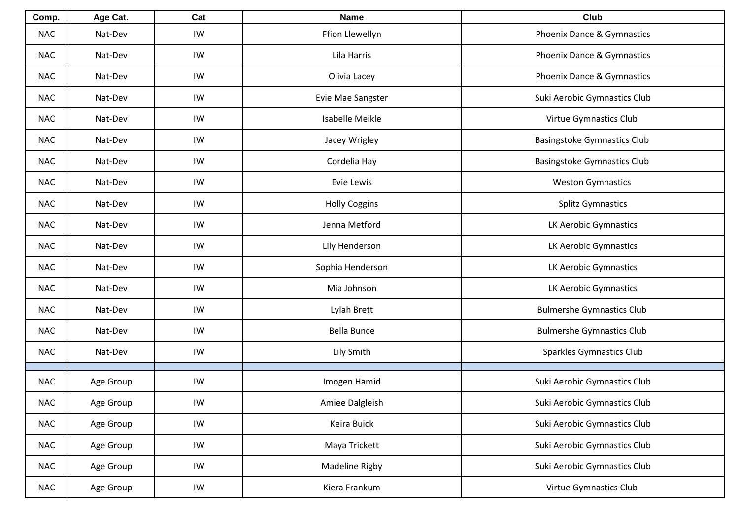| Comp.      | Age Cat.  | Cat | <b>Name</b>          | <b>Club</b>                        |
|------------|-----------|-----|----------------------|------------------------------------|
| <b>NAC</b> | Nat-Dev   | IW  | Ffion Llewellyn      | Phoenix Dance & Gymnastics         |
| <b>NAC</b> | Nat-Dev   | IW  | Lila Harris          | Phoenix Dance & Gymnastics         |
| <b>NAC</b> | Nat-Dev   | IW  | Olivia Lacey         | Phoenix Dance & Gymnastics         |
| <b>NAC</b> | Nat-Dev   | IW  | Evie Mae Sangster    | Suki Aerobic Gymnastics Club       |
| <b>NAC</b> | Nat-Dev   | IW  | Isabelle Meikle      | Virtue Gymnastics Club             |
| <b>NAC</b> | Nat-Dev   | IW  | Jacey Wrigley        | <b>Basingstoke Gymnastics Club</b> |
| <b>NAC</b> | Nat-Dev   | IW  | Cordelia Hay         | <b>Basingstoke Gymnastics Club</b> |
| <b>NAC</b> | Nat-Dev   | IW  | Evie Lewis           | <b>Weston Gymnastics</b>           |
| <b>NAC</b> | Nat-Dev   | IW  | <b>Holly Coggins</b> | <b>Splitz Gymnastics</b>           |
| <b>NAC</b> | Nat-Dev   | IW  | Jenna Metford        | LK Aerobic Gymnastics              |
| <b>NAC</b> | Nat-Dev   | IW  | Lily Henderson       | LK Aerobic Gymnastics              |
| <b>NAC</b> | Nat-Dev   | IW  | Sophia Henderson     | LK Aerobic Gymnastics              |
| <b>NAC</b> | Nat-Dev   | IW  | Mia Johnson          | LK Aerobic Gymnastics              |
| <b>NAC</b> | Nat-Dev   | IW  | Lylah Brett          | <b>Bulmershe Gymnastics Club</b>   |
| <b>NAC</b> | Nat-Dev   | IW  | <b>Bella Bunce</b>   | <b>Bulmershe Gymnastics Club</b>   |
| <b>NAC</b> | Nat-Dev   | IW  | Lily Smith           | <b>Sparkles Gymnastics Club</b>    |
|            |           |     |                      |                                    |
| <b>NAC</b> | Age Group | IW  | Imogen Hamid         | Suki Aerobic Gymnastics Club       |
| <b>NAC</b> | Age Group | IW  | Amiee Dalgleish      | Suki Aerobic Gymnastics Club       |
| <b>NAC</b> | Age Group | IW  | Keira Buick          | Suki Aerobic Gymnastics Club       |
| <b>NAC</b> | Age Group | IW  | Maya Trickett        | Suki Aerobic Gymnastics Club       |
| <b>NAC</b> | Age Group | IW  | Madeline Rigby       | Suki Aerobic Gymnastics Club       |
| <b>NAC</b> | Age Group | IW  | Kiera Frankum        | Virtue Gymnastics Club             |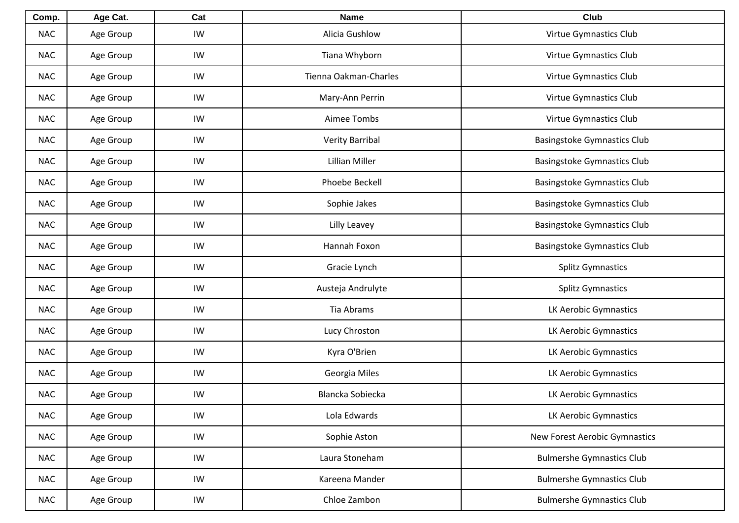| Comp.      | Age Cat.  | Cat | <b>Name</b>           | Club                               |
|------------|-----------|-----|-----------------------|------------------------------------|
| <b>NAC</b> | Age Group | IW  | Alicia Gushlow        | Virtue Gymnastics Club             |
| <b>NAC</b> | Age Group | IW  | Tiana Whyborn         | Virtue Gymnastics Club             |
| <b>NAC</b> | Age Group | IW  | Tienna Oakman-Charles | Virtue Gymnastics Club             |
| <b>NAC</b> | Age Group | IW  | Mary-Ann Perrin       | Virtue Gymnastics Club             |
| <b>NAC</b> | Age Group | IW  | Aimee Tombs           | Virtue Gymnastics Club             |
| <b>NAC</b> | Age Group | IW  | Verity Barribal       | <b>Basingstoke Gymnastics Club</b> |
| <b>NAC</b> | Age Group | IW  | Lillian Miller        | <b>Basingstoke Gymnastics Club</b> |
| <b>NAC</b> | Age Group | IW  | Phoebe Beckell        | <b>Basingstoke Gymnastics Club</b> |
| <b>NAC</b> | Age Group | IW  | Sophie Jakes          | <b>Basingstoke Gymnastics Club</b> |
| <b>NAC</b> | Age Group | IW  | Lilly Leavey          | <b>Basingstoke Gymnastics Club</b> |
| <b>NAC</b> | Age Group | IW  | Hannah Foxon          | <b>Basingstoke Gymnastics Club</b> |
| <b>NAC</b> | Age Group | IW  | Gracie Lynch          | <b>Splitz Gymnastics</b>           |
| <b>NAC</b> | Age Group | IW  | Austeja Andrulyte     | <b>Splitz Gymnastics</b>           |
| <b>NAC</b> | Age Group | IW  | Tia Abrams            | LK Aerobic Gymnastics              |
| <b>NAC</b> | Age Group | IW  | Lucy Chroston         | LK Aerobic Gymnastics              |
| <b>NAC</b> | Age Group | IW  | Kyra O'Brien          | LK Aerobic Gymnastics              |
| <b>NAC</b> | Age Group | IW  | Georgia Miles         | LK Aerobic Gymnastics              |
| <b>NAC</b> | Age Group | IW  | Blancka Sobiecka      | LK Aerobic Gymnastics              |
| <b>NAC</b> | Age Group | IW  | Lola Edwards          | LK Aerobic Gymnastics              |
| <b>NAC</b> | Age Group | IW  | Sophie Aston          | New Forest Aerobic Gymnastics      |
| <b>NAC</b> | Age Group | IW  | Laura Stoneham        | <b>Bulmershe Gymnastics Club</b>   |
| <b>NAC</b> | Age Group | IW  | Kareena Mander        | <b>Bulmershe Gymnastics Club</b>   |
| <b>NAC</b> | Age Group | IW  | Chloe Zambon          | <b>Bulmershe Gymnastics Club</b>   |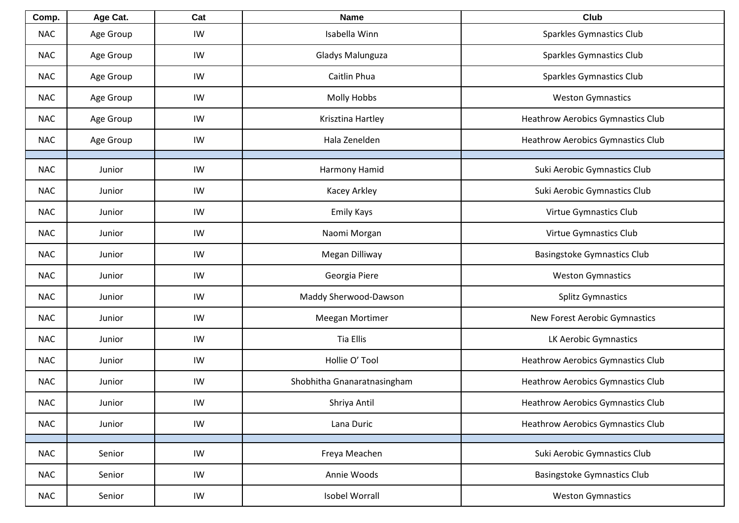| Comp.      | Age Cat.  | Cat | <b>Name</b>                 | Club                                     |
|------------|-----------|-----|-----------------------------|------------------------------------------|
| <b>NAC</b> | Age Group | IW  | Isabella Winn               | <b>Sparkles Gymnastics Club</b>          |
| <b>NAC</b> | Age Group | IW  | Gladys Malunguza            | <b>Sparkles Gymnastics Club</b>          |
| <b>NAC</b> | Age Group | IW  | Caitlin Phua                | <b>Sparkles Gymnastics Club</b>          |
| <b>NAC</b> | Age Group | IW  | <b>Molly Hobbs</b>          | <b>Weston Gymnastics</b>                 |
| <b>NAC</b> | Age Group | IW  | Krisztina Hartley           | <b>Heathrow Aerobics Gymnastics Club</b> |
| <b>NAC</b> | Age Group | IW  | Hala Zenelden               | <b>Heathrow Aerobics Gymnastics Club</b> |
| <b>NAC</b> | Junior    | IW  | Harmony Hamid               | Suki Aerobic Gymnastics Club             |
| <b>NAC</b> | Junior    | IW  | Kacey Arkley                | Suki Aerobic Gymnastics Club             |
| <b>NAC</b> | Junior    | IW  | Emily Kays                  | Virtue Gymnastics Club                   |
| <b>NAC</b> | Junior    | IW  | Naomi Morgan                | Virtue Gymnastics Club                   |
| <b>NAC</b> | Junior    | IW  | Megan Dilliway              | <b>Basingstoke Gymnastics Club</b>       |
| <b>NAC</b> | Junior    | IW  | Georgia Piere               | <b>Weston Gymnastics</b>                 |
| <b>NAC</b> | Junior    | IW  | Maddy Sherwood-Dawson       | <b>Splitz Gymnastics</b>                 |
| <b>NAC</b> | Junior    | IW  | Meegan Mortimer             | New Forest Aerobic Gymnastics            |
| <b>NAC</b> | Junior    | IW  | <b>Tia Ellis</b>            | LK Aerobic Gymnastics                    |
| <b>NAC</b> | Junior    | IW  | Hollie O' Tool              | <b>Heathrow Aerobics Gymnastics Club</b> |
| <b>NAC</b> | Junior    | IW  | Shobhitha Gnanaratnasingham | <b>Heathrow Aerobics Gymnastics Club</b> |
| <b>NAC</b> | Junior    | IW  | Shriya Antil                | Heathrow Aerobics Gymnastics Club        |
| <b>NAC</b> | Junior    | IW  | Lana Duric                  | <b>Heathrow Aerobics Gymnastics Club</b> |
| <b>NAC</b> |           | IW  | Freya Meachen               |                                          |
|            | Senior    |     |                             | Suki Aerobic Gymnastics Club             |
| <b>NAC</b> | Senior    | IW  | Annie Woods                 | <b>Basingstoke Gymnastics Club</b>       |
| <b>NAC</b> | Senior    | IW  | <b>Isobel Worrall</b>       | <b>Weston Gymnastics</b>                 |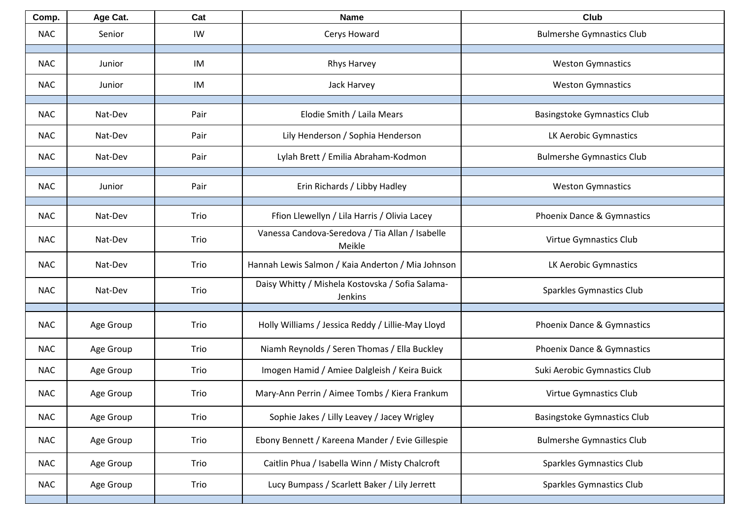| Comp.      | Age Cat.  | Cat  | <b>Name</b>                                                 | <b>Club</b>                        |
|------------|-----------|------|-------------------------------------------------------------|------------------------------------|
| <b>NAC</b> | Senior    | IW   | Cerys Howard                                                | <b>Bulmershe Gymnastics Club</b>   |
| <b>NAC</b> | Junior    | IM   | <b>Rhys Harvey</b>                                          | <b>Weston Gymnastics</b>           |
| <b>NAC</b> | Junior    | IM   | Jack Harvey                                                 | <b>Weston Gymnastics</b>           |
|            |           |      |                                                             |                                    |
| <b>NAC</b> | Nat-Dev   | Pair | Elodie Smith / Laila Mears                                  | <b>Basingstoke Gymnastics Club</b> |
| <b>NAC</b> | Nat-Dev   | Pair | Lily Henderson / Sophia Henderson                           | LK Aerobic Gymnastics              |
| <b>NAC</b> | Nat-Dev   | Pair | Lylah Brett / Emilia Abraham-Kodmon                         | <b>Bulmershe Gymnastics Club</b>   |
| <b>NAC</b> | Junior    | Pair | Erin Richards / Libby Hadley                                | <b>Weston Gymnastics</b>           |
|            |           |      |                                                             |                                    |
| <b>NAC</b> | Nat-Dev   | Trio | Ffion Llewellyn / Lila Harris / Olivia Lacey                | Phoenix Dance & Gymnastics         |
| <b>NAC</b> | Nat-Dev   | Trio | Vanessa Candova-Seredova / Tia Allan / Isabelle<br>Meikle   | Virtue Gymnastics Club             |
| <b>NAC</b> | Nat-Dev   | Trio | Hannah Lewis Salmon / Kaia Anderton / Mia Johnson           | LK Aerobic Gymnastics              |
| <b>NAC</b> | Nat-Dev   | Trio | Daisy Whitty / Mishela Kostovska / Sofia Salama-<br>Jenkins | <b>Sparkles Gymnastics Club</b>    |
| <b>NAC</b> | Age Group | Trio | Holly Williams / Jessica Reddy / Lillie-May Lloyd           | Phoenix Dance & Gymnastics         |
| <b>NAC</b> | Age Group | Trio | Niamh Reynolds / Seren Thomas / Ella Buckley                | Phoenix Dance & Gymnastics         |
| <b>NAC</b> | Age Group | Trio | Imogen Hamid / Amiee Dalgleish / Keira Buick                | Suki Aerobic Gymnastics Club       |
| <b>NAC</b> | Age Group | Trio | Mary-Ann Perrin / Aimee Tombs / Kiera Frankum               | Virtue Gymnastics Club             |
| <b>NAC</b> | Age Group | Trio | Sophie Jakes / Lilly Leavey / Jacey Wrigley                 | <b>Basingstoke Gymnastics Club</b> |
| <b>NAC</b> | Age Group | Trio | Ebony Bennett / Kareena Mander / Evie Gillespie             | <b>Bulmershe Gymnastics Club</b>   |
| <b>NAC</b> | Age Group | Trio | Caitlin Phua / Isabella Winn / Misty Chalcroft              | <b>Sparkles Gymnastics Club</b>    |
| <b>NAC</b> | Age Group | Trio | Lucy Bumpass / Scarlett Baker / Lily Jerrett                | <b>Sparkles Gymnastics Club</b>    |
|            |           |      |                                                             |                                    |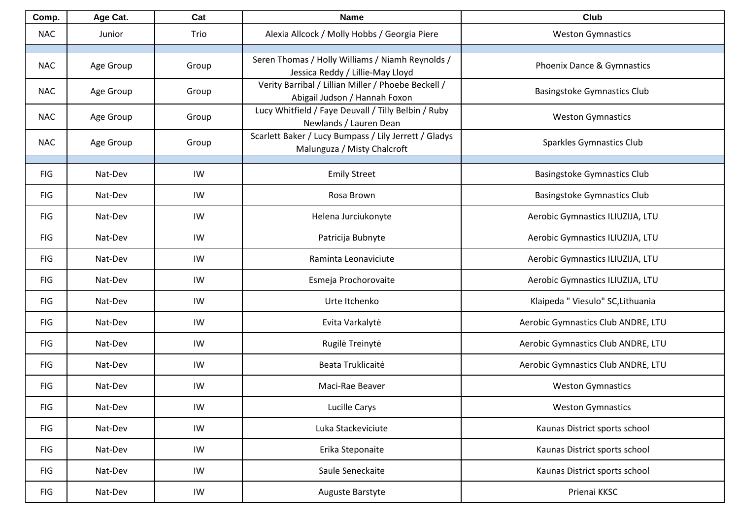| Comp.      | Age Cat.  | Cat   | <b>Name</b>                                                                          | <b>Club</b>                        |
|------------|-----------|-------|--------------------------------------------------------------------------------------|------------------------------------|
| <b>NAC</b> | Junior    | Trio  | Alexia Allcock / Molly Hobbs / Georgia Piere                                         | <b>Weston Gymnastics</b>           |
| <b>NAC</b> | Age Group | Group | Seren Thomas / Holly Williams / Niamh Reynolds /<br>Jessica Reddy / Lillie-May Lloyd | Phoenix Dance & Gymnastics         |
| <b>NAC</b> | Age Group | Group | Verity Barribal / Lillian Miller / Phoebe Beckell /<br>Abigail Judson / Hannah Foxon | <b>Basingstoke Gymnastics Club</b> |
| <b>NAC</b> | Age Group | Group | Lucy Whitfield / Faye Deuvall / Tilly Belbin / Ruby<br>Newlands / Lauren Dean        | <b>Weston Gymnastics</b>           |
| <b>NAC</b> | Age Group | Group | Scarlett Baker / Lucy Bumpass / Lily Jerrett / Gladys<br>Malunguza / Misty Chalcroft | <b>Sparkles Gymnastics Club</b>    |
| <b>FIG</b> | Nat-Dev   | IW    | <b>Emily Street</b>                                                                  | <b>Basingstoke Gymnastics Club</b> |
| <b>FIG</b> | Nat-Dev   | IW    | Rosa Brown                                                                           | <b>Basingstoke Gymnastics Club</b> |
| <b>FIG</b> | Nat-Dev   | IW    | Helena Jurciukonyte                                                                  | Aerobic Gymnastics ILIUZIJA, LTU   |
| <b>FIG</b> | Nat-Dev   | IW    | Patricija Bubnyte                                                                    | Aerobic Gymnastics ILIUZIJA, LTU   |
| <b>FIG</b> | Nat-Dev   | IW    | Raminta Leonaviciute                                                                 | Aerobic Gymnastics ILIUZIJA, LTU   |
| <b>FIG</b> | Nat-Dev   | IW    | Esmeja Prochorovaite                                                                 | Aerobic Gymnastics ILIUZIJA, LTU   |
| <b>FIG</b> | Nat-Dev   | IW    | Urte Itchenko                                                                        | Klaipeda " Viesulo" SC, Lithuania  |
| <b>FIG</b> | Nat-Dev   | IW    | Evita Varkalytė                                                                      | Aerobic Gymnastics Club ANDRE, LTU |
| <b>FIG</b> | Nat-Dev   | IW    | Rugilė Treinytė                                                                      | Aerobic Gymnastics Club ANDRE, LTU |
| <b>FIG</b> | Nat-Dev   | IW    | Beata Truklicaitė                                                                    | Aerobic Gymnastics Club ANDRE, LTU |
| <b>FIG</b> | Nat-Dev   | IW    | Maci-Rae Beaver                                                                      | <b>Weston Gymnastics</b>           |
| FIG        | Nat-Dev   | IW    | Lucille Carys                                                                        | <b>Weston Gymnastics</b>           |
| FIG        | Nat-Dev   | IW    | Luka Stackeviciute                                                                   | Kaunas District sports school      |
| <b>FIG</b> | Nat-Dev   | IW    | Erika Steponaite                                                                     | Kaunas District sports school      |
| <b>FIG</b> | Nat-Dev   | IW    | Saule Seneckaite                                                                     | Kaunas District sports school      |
| FIG        | Nat-Dev   | IW    | Auguste Barstyte                                                                     | Prienai KKSC                       |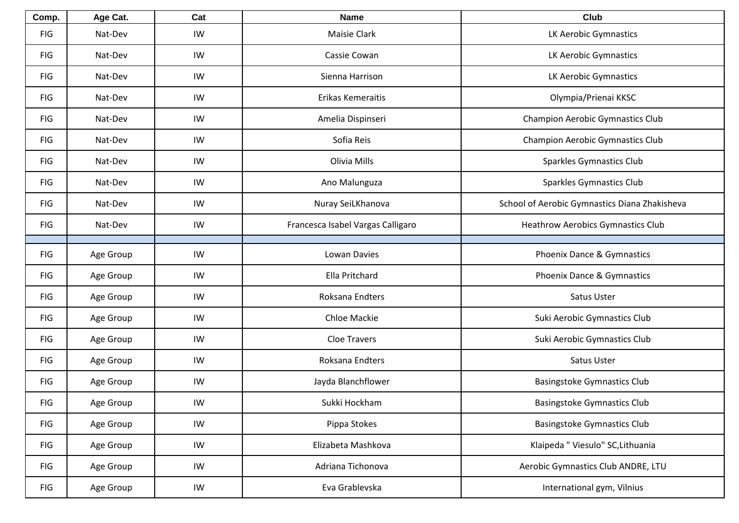| Comp.      | Age Cat.  | Cat | <b>Name</b>                       | <b>Club</b>                                   |
|------------|-----------|-----|-----------------------------------|-----------------------------------------------|
| <b>FIG</b> | Nat-Dev   | IW  | Maisie Clark                      | LK Aerobic Gymnastics                         |
| <b>FIG</b> | Nat-Dev   | IW  | Cassie Cowan                      | LK Aerobic Gymnastics                         |
| <b>FIG</b> | Nat-Dev   | IW  | Sienna Harrison                   | LK Aerobic Gymnastics                         |
| <b>FIG</b> | Nat-Dev   | IW  | Erikas Kemeraitis                 | Olympia/Prienai KKSC                          |
| <b>FIG</b> | Nat-Dev   | IW  | Amelia Dispinseri                 | <b>Champion Aerobic Gymnastics Club</b>       |
| <b>FIG</b> | Nat-Dev   | IW  | Sofia Reis                        | Champion Aerobic Gymnastics Club              |
| <b>FIG</b> | Nat-Dev   | IW  | Olivia Mills                      | Sparkles Gymnastics Club                      |
| <b>FIG</b> | Nat-Dev   | IW  | Ano Malunguza                     | Sparkles Gymnastics Club                      |
| <b>FIG</b> | Nat-Dev   | IW  | Nuray SeiLKhanova                 | School of Aerobic Gymnastics Diana Zhakisheva |
| <b>FIG</b> | Nat-Dev   | IW  | Francesca Isabel Vargas Calligaro | <b>Heathrow Aerobics Gymnastics Club</b>      |
|            |           |     |                                   |                                               |
| <b>FIG</b> | Age Group | IW  | Lowan Davies                      | Phoenix Dance & Gymnastics                    |
| <b>FIG</b> | Age Group | IW  | Ella Pritchard                    | Phoenix Dance & Gymnastics                    |
| <b>FIG</b> | Age Group | IW  | Roksana Endters                   | Satus Uster                                   |
| <b>FIG</b> | Age Group | IW  | Chloe Mackie                      | Suki Aerobic Gymnastics Club                  |
| <b>FIG</b> | Age Group | IW  | <b>Cloe Travers</b>               | Suki Aerobic Gymnastics Club                  |
| <b>FIG</b> | Age Group | IW  | Roksana Endters                   | Satus Uster                                   |
| <b>FIG</b> | Age Group | IW  | Jayda Blanchflower                | Basingstoke Gymnastics Club                   |
| <b>FIG</b> | Age Group | IW  | Sukki Hockham                     | <b>Basingstoke Gymnastics Club</b>            |
| <b>FIG</b> | Age Group | IW  | Pippa Stokes                      | <b>Basingstoke Gymnastics Club</b>            |
| <b>FIG</b> | Age Group | IW  | Elizabeta Mashkova                | Klaipeda " Viesulo" SC, Lithuania             |
| <b>FIG</b> | Age Group | IW  | Adriana Tichonova                 | Aerobic Gymnastics Club ANDRE, LTU            |
| <b>FIG</b> | Age Group | IW  | Eva Grablevska                    | International gym, Vilnius                    |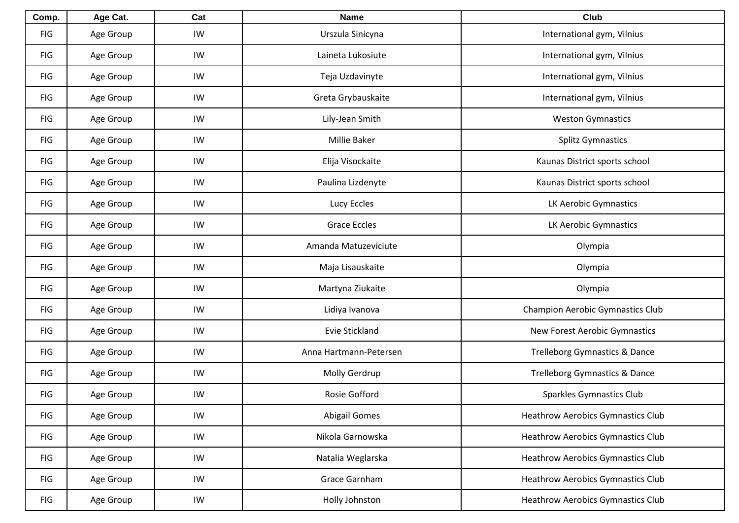| Comp.      | Age Cat.  | Cat | <b>Name</b>            | Club                                     |
|------------|-----------|-----|------------------------|------------------------------------------|
| <b>FIG</b> | Age Group | IW  | Urszula Sinicyna       | International gym, Vilnius               |
| <b>FIG</b> | Age Group | IW  | Laineta Lukosiute      | International gym, Vilnius               |
| <b>FIG</b> | Age Group | IW  | Teja Uzdavinyte        | International gym, Vilnius               |
| <b>FIG</b> | Age Group | IW  | Greta Grybauskaite     | International gym, Vilnius               |
| <b>FIG</b> | Age Group | IW  | Lily-Jean Smith        | <b>Weston Gymnastics</b>                 |
| <b>FIG</b> | Age Group | IW  | <b>Millie Baker</b>    | <b>Splitz Gymnastics</b>                 |
| <b>FIG</b> | Age Group | IW  | Elija Visockaite       | Kaunas District sports school            |
| <b>FIG</b> | Age Group | IW  | Paulina Lizdenyte      | Kaunas District sports school            |
| <b>FIG</b> | Age Group | IW  | Lucy Eccles            | LK Aerobic Gymnastics                    |
| <b>FIG</b> | Age Group | IW  | <b>Grace Eccles</b>    | LK Aerobic Gymnastics                    |
| <b>FIG</b> | Age Group | IW  | Amanda Matuzeviciute   | Olympia                                  |
| <b>FIG</b> | Age Group | IW  | Maja Lisauskaite       | Olympia                                  |
| <b>FIG</b> | Age Group | IW  | Martyna Ziukaite       | Olympia                                  |
| <b>FIG</b> | Age Group | IW  | Lidiya Ivanova         | <b>Champion Aerobic Gymnastics Club</b>  |
| <b>FIG</b> | Age Group | IW  | Evie Stickland         | New Forest Aerobic Gymnastics            |
| <b>FIG</b> | Age Group | IW  | Anna Hartmann-Petersen | <b>Trelleborg Gymnastics &amp; Dance</b> |
| <b>FIG</b> | Age Group | IW  | Molly Gerdrup          | Trelleborg Gymnastics & Dance            |
| <b>FIG</b> | Age Group | IW  | Rosie Gofford          | Sparkles Gymnastics Club                 |
| FIG        | Age Group | IW  | <b>Abigail Gomes</b>   | <b>Heathrow Aerobics Gymnastics Club</b> |
| <b>FIG</b> | Age Group | IW  | Nikola Garnowska       | <b>Heathrow Aerobics Gymnastics Club</b> |
| <b>FIG</b> | Age Group | IW  | Natalia Weglarska      | <b>Heathrow Aerobics Gymnastics Club</b> |
| <b>FIG</b> | Age Group | IW  | Grace Garnham          | <b>Heathrow Aerobics Gymnastics Club</b> |
| <b>FIG</b> | Age Group | IW  | Holly Johnston         | <b>Heathrow Aerobics Gymnastics Club</b> |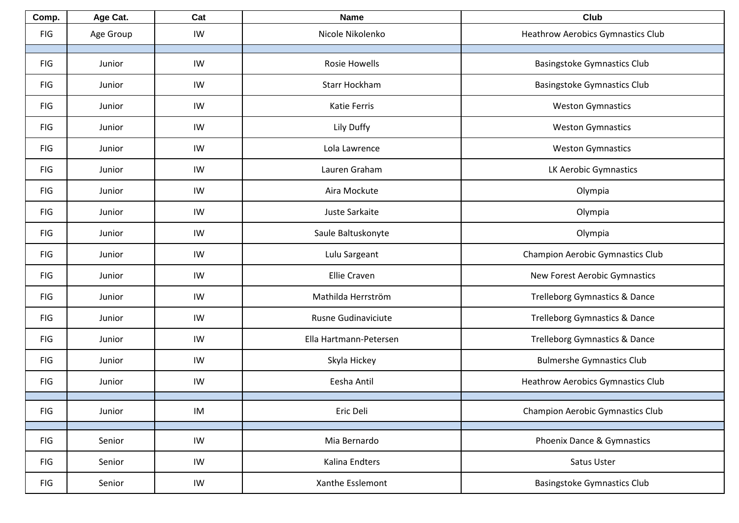| Comp.      | Age Cat.  | Cat | <b>Name</b>            | Club                                     |
|------------|-----------|-----|------------------------|------------------------------------------|
| <b>FIG</b> | Age Group | IW  | Nicole Nikolenko       | <b>Heathrow Aerobics Gymnastics Club</b> |
| <b>FIG</b> | Junior    | IW  | <b>Rosie Howells</b>   | <b>Basingstoke Gymnastics Club</b>       |
| <b>FIG</b> | Junior    | IW  | Starr Hockham          | <b>Basingstoke Gymnastics Club</b>       |
| <b>FIG</b> | Junior    | IW  | Katie Ferris           | <b>Weston Gymnastics</b>                 |
| <b>FIG</b> | Junior    | IW  | Lily Duffy             | <b>Weston Gymnastics</b>                 |
| <b>FIG</b> | Junior    | IW  | Lola Lawrence          | <b>Weston Gymnastics</b>                 |
| <b>FIG</b> | Junior    | IW  | Lauren Graham          | LK Aerobic Gymnastics                    |
| <b>FIG</b> | Junior    | IW  | Aira Mockute           | Olympia                                  |
| <b>FIG</b> | Junior    | IW  | Juste Sarkaite         | Olympia                                  |
| <b>FIG</b> | Junior    | IW  | Saule Baltuskonyte     | Olympia                                  |
| <b>FIG</b> | Junior    | IW  | Lulu Sargeant          | <b>Champion Aerobic Gymnastics Club</b>  |
| <b>FIG</b> | Junior    | IW  | <b>Ellie Craven</b>    | New Forest Aerobic Gymnastics            |
| <b>FIG</b> | Junior    | IW  | Mathilda Herrström     | <b>Trelleborg Gymnastics &amp; Dance</b> |
| <b>FIG</b> | Junior    | IW  | Rusne Gudinaviciute    | Trelleborg Gymnastics & Dance            |
| <b>FIG</b> | Junior    | IW  | Ella Hartmann-Petersen | <b>Trelleborg Gymnastics &amp; Dance</b> |
| <b>FIG</b> | Junior    | IW  | Skyla Hickey           | <b>Bulmershe Gymnastics Club</b>         |
| <b>FIG</b> | Junior    | IW  | Eesha Antil            | <b>Heathrow Aerobics Gymnastics Club</b> |
| <b>FIG</b> | Junior    | IM  | Eric Deli              | <b>Champion Aerobic Gymnastics Club</b>  |
| <b>FIG</b> | Senior    | IW  | Mia Bernardo           | Phoenix Dance & Gymnastics               |
| <b>FIG</b> | Senior    | IW  | Kalina Endters         | Satus Uster                              |
| FIG        | Senior    | IW  | Xanthe Esslemont       | <b>Basingstoke Gymnastics Club</b>       |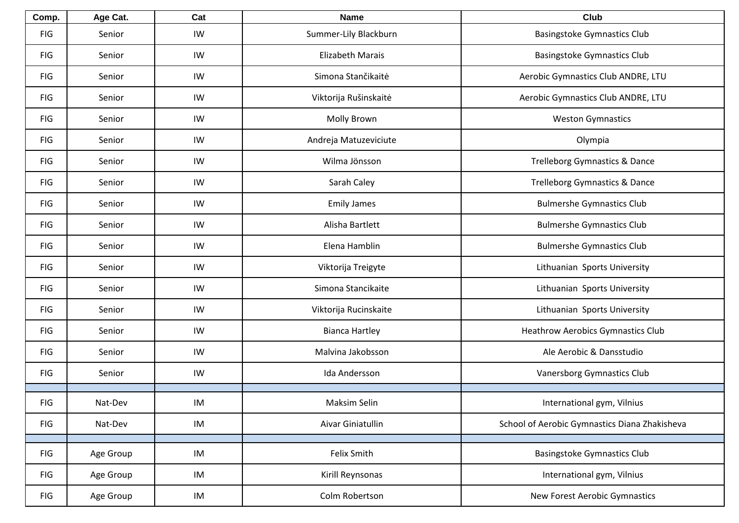| Comp.      | Age Cat.  | Cat | <b>Name</b>             | Club                                          |
|------------|-----------|-----|-------------------------|-----------------------------------------------|
| <b>FIG</b> | Senior    | IW  | Summer-Lily Blackburn   | <b>Basingstoke Gymnastics Club</b>            |
| <b>FIG</b> | Senior    | IW  | <b>Elizabeth Marais</b> | <b>Basingstoke Gymnastics Club</b>            |
| <b>FIG</b> | Senior    | IW  | Simona Stančikaitė      | Aerobic Gymnastics Club ANDRE, LTU            |
| <b>FIG</b> | Senior    | IW  | Viktorija Rušinskaitė   | Aerobic Gymnastics Club ANDRE, LTU            |
| <b>FIG</b> | Senior    | IW  | Molly Brown             | <b>Weston Gymnastics</b>                      |
| <b>FIG</b> | Senior    | IW  | Andreja Matuzeviciute   | Olympia                                       |
| <b>FIG</b> | Senior    | IW  | Wilma Jönsson           | Trelleborg Gymnastics & Dance                 |
| <b>FIG</b> | Senior    | IW  | Sarah Caley             | <b>Trelleborg Gymnastics &amp; Dance</b>      |
| <b>FIG</b> | Senior    | IW  | <b>Emily James</b>      | <b>Bulmershe Gymnastics Club</b>              |
| <b>FIG</b> | Senior    | IW  | Alisha Bartlett         | <b>Bulmershe Gymnastics Club</b>              |
| <b>FIG</b> | Senior    | IW  | Elena Hamblin           | <b>Bulmershe Gymnastics Club</b>              |
| <b>FIG</b> | Senior    | IW  | Viktorija Treigyte      | Lithuanian Sports University                  |
| <b>FIG</b> | Senior    | IW  | Simona Stancikaite      | Lithuanian Sports University                  |
| <b>FIG</b> | Senior    | IW  | Viktorija Rucinskaite   | Lithuanian Sports University                  |
| <b>FIG</b> | Senior    | IW  | <b>Bianca Hartley</b>   | Heathrow Aerobics Gymnastics Club             |
| <b>FIG</b> | Senior    | IW  | Malvina Jakobsson       | Ale Aerobic & Dansstudio                      |
| <b>FIG</b> | Senior    | IW  | Ida Andersson           | Vanersborg Gymnastics Club                    |
| FIG        | Nat-Dev   | IM  | Maksim Selin            | International gym, Vilnius                    |
| FIG        | Nat-Dev   | IM  | Aivar Giniatullin       | School of Aerobic Gymnastics Diana Zhakisheva |
|            |           |     |                         |                                               |
| <b>FIG</b> | Age Group | IM  | Felix Smith             | <b>Basingstoke Gymnastics Club</b>            |
| <b>FIG</b> | Age Group | IM  | Kirill Reynsonas        | International gym, Vilnius                    |
| FIG        | Age Group | IM  | Colm Robertson          | New Forest Aerobic Gymnastics                 |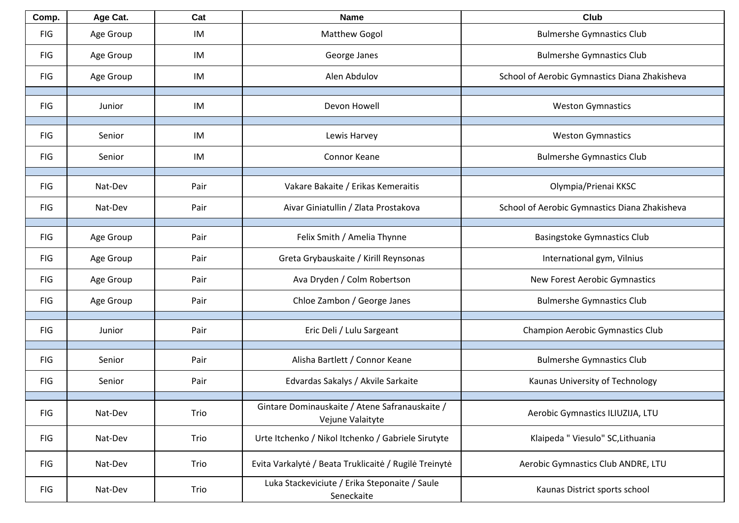| Comp.      | Age Cat.  | Cat  | <b>Name</b>                                                        | Club                                          |
|------------|-----------|------|--------------------------------------------------------------------|-----------------------------------------------|
| <b>FIG</b> | Age Group | IM   | <b>Matthew Gogol</b>                                               | <b>Bulmershe Gymnastics Club</b>              |
| <b>FIG</b> | Age Group | IM   | George Janes                                                       | <b>Bulmershe Gymnastics Club</b>              |
| <b>FIG</b> | Age Group | IM   | Alen Abdulov                                                       | School of Aerobic Gymnastics Diana Zhakisheva |
| <b>FIG</b> | Junior    | IM   | Devon Howell                                                       | <b>Weston Gymnastics</b>                      |
| <b>FIG</b> | Senior    | IM   | Lewis Harvey                                                       | <b>Weston Gymnastics</b>                      |
| <b>FIG</b> | Senior    | IM   | Connor Keane                                                       | <b>Bulmershe Gymnastics Club</b>              |
| <b>FIG</b> | Nat-Dev   | Pair | Vakare Bakaite / Erikas Kemeraitis                                 | Olympia/Prienai KKSC                          |
| <b>FIG</b> | Nat-Dev   | Pair | Aivar Giniatullin / Zlata Prostakova                               | School of Aerobic Gymnastics Diana Zhakisheva |
| <b>FIG</b> | Age Group | Pair | Felix Smith / Amelia Thynne                                        | <b>Basingstoke Gymnastics Club</b>            |
| <b>FIG</b> | Age Group | Pair | Greta Grybauskaite / Kirill Reynsonas                              | International gym, Vilnius                    |
| <b>FIG</b> | Age Group | Pair | Ava Dryden / Colm Robertson                                        | New Forest Aerobic Gymnastics                 |
| <b>FIG</b> | Age Group | Pair | Chloe Zambon / George Janes                                        | <b>Bulmershe Gymnastics Club</b>              |
| <b>FIG</b> | Junior    | Pair | Eric Deli / Lulu Sargeant                                          | <b>Champion Aerobic Gymnastics Club</b>       |
| <b>FIG</b> | Senior    | Pair | Alisha Bartlett / Connor Keane                                     | <b>Bulmershe Gymnastics Club</b>              |
| <b>FIG</b> | Senior    | Pair | Edvardas Sakalys / Akvile Sarkaite                                 | Kaunas University of Technology               |
| <b>FIG</b> | Nat-Dev   | Trio | Gintare Dominauskaite / Atene Safranauskaite /<br>Vejune Valaityte | Aerobic Gymnastics ILIUZIJA, LTU              |
| <b>FIG</b> | Nat-Dev   | Trio | Urte Itchenko / Nikol Itchenko / Gabriele Sirutyte                 | Klaipeda " Viesulo" SC, Lithuania             |
| <b>FIG</b> | Nat-Dev   | Trio | Evita Varkalytė / Beata Truklicaitė / Rugilė Treinytė              | Aerobic Gymnastics Club ANDRE, LTU            |
| FIG        | Nat-Dev   | Trio | Luka Stackeviciute / Erika Steponaite / Saule<br>Seneckaite        | Kaunas District sports school                 |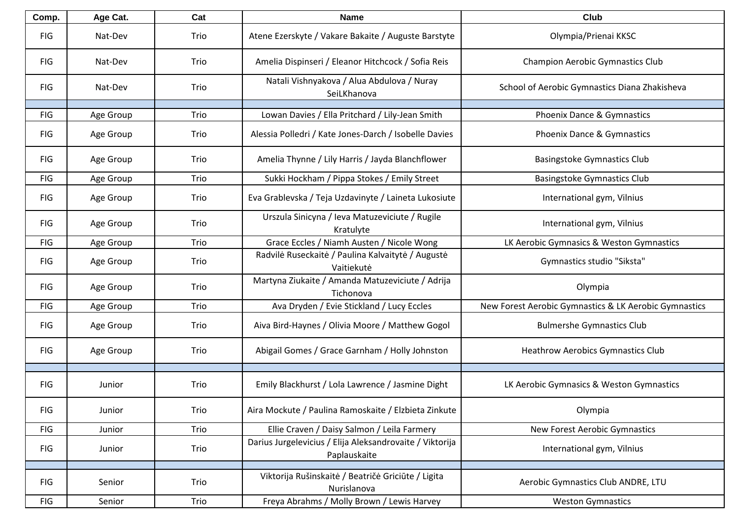| Comp.      | Age Cat.  | Cat  | <b>Name</b>                                                              | <b>Club</b>                                           |
|------------|-----------|------|--------------------------------------------------------------------------|-------------------------------------------------------|
| <b>FIG</b> | Nat-Dev   | Trio | Atene Ezerskyte / Vakare Bakaite / Auguste Barstyte                      | Olympia/Prienai KKSC                                  |
| <b>FIG</b> | Nat-Dev   | Trio | Amelia Dispinseri / Eleanor Hitchcock / Sofia Reis                       | <b>Champion Aerobic Gymnastics Club</b>               |
| <b>FIG</b> | Nat-Dev   | Trio | Natali Vishnyakova / Alua Abdulova / Nuray<br>SeiLKhanova                | School of Aerobic Gymnastics Diana Zhakisheva         |
| <b>FIG</b> | Age Group | Trio | Lowan Davies / Ella Pritchard / Lily-Jean Smith                          | Phoenix Dance & Gymnastics                            |
| <b>FIG</b> | Age Group | Trio | Alessia Polledri / Kate Jones-Darch / Isobelle Davies                    | Phoenix Dance & Gymnastics                            |
| <b>FIG</b> | Age Group | Trio | Amelia Thynne / Lily Harris / Jayda Blanchflower                         | <b>Basingstoke Gymnastics Club</b>                    |
| <b>FIG</b> | Age Group | Trio | Sukki Hockham / Pippa Stokes / Emily Street                              | <b>Basingstoke Gymnastics Club</b>                    |
| <b>FIG</b> | Age Group | Trio | Eva Grablevska / Teja Uzdavinyte / Laineta Lukosiute                     | International gym, Vilnius                            |
| <b>FIG</b> | Age Group | Trio | Urszula Sinicyna / Ieva Matuzeviciute / Rugile<br>Kratulyte              | International gym, Vilnius                            |
| <b>FIG</b> | Age Group | Trio | Grace Eccles / Niamh Austen / Nicole Wong                                | LK Aerobic Gymnasics & Weston Gymnastics              |
| <b>FIG</b> | Age Group | Trio | Radvilė Ruseckaitė / Paulina Kalvaitytė / Augustė<br>Vaitiekutė          | Gymnastics studio "Siksta"                            |
| <b>FIG</b> | Age Group | Trio | Martyna Ziukaite / Amanda Matuzeviciute / Adrija<br>Tichonova            | Olympia                                               |
| <b>FIG</b> | Age Group | Trio | Ava Dryden / Evie Stickland / Lucy Eccles                                | New Forest Aerobic Gymnastics & LK Aerobic Gymnastics |
| <b>FIG</b> | Age Group | Trio | Aiva Bird-Haynes / Olivia Moore / Matthew Gogol                          | <b>Bulmershe Gymnastics Club</b>                      |
| <b>FIG</b> | Age Group | Trio | Abigail Gomes / Grace Garnham / Holly Johnston                           | <b>Heathrow Aerobics Gymnastics Club</b>              |
|            |           |      |                                                                          |                                                       |
| <b>FIG</b> | Junior    | Trio | Emily Blackhurst / Lola Lawrence / Jasmine Dight                         | LK Aerobic Gymnasics & Weston Gymnastics              |
| <b>FIG</b> | Junior    | Trio | Aira Mockute / Paulina Ramoskaite / Elzbieta Zinkute                     | Olympia                                               |
| <b>FIG</b> | Junior    | Trio | Ellie Craven / Daisy Salmon / Leila Farmery                              | New Forest Aerobic Gymnastics                         |
| <b>FIG</b> | Junior    | Trio | Darius Jurgelevicius / Elija Aleksandrovaite / Viktorija<br>Paplauskaite | International gym, Vilnius                            |
|            |           |      | Viktorija Rušinskaitė / Beatričė Griciūte / Ligita                       |                                                       |
| <b>FIG</b> | Senior    | Trio | Nurislanova                                                              | Aerobic Gymnastics Club ANDRE, LTU                    |
| <b>FIG</b> | Senior    | Trio | Freya Abrahms / Molly Brown / Lewis Harvey                               | <b>Weston Gymnastics</b>                              |